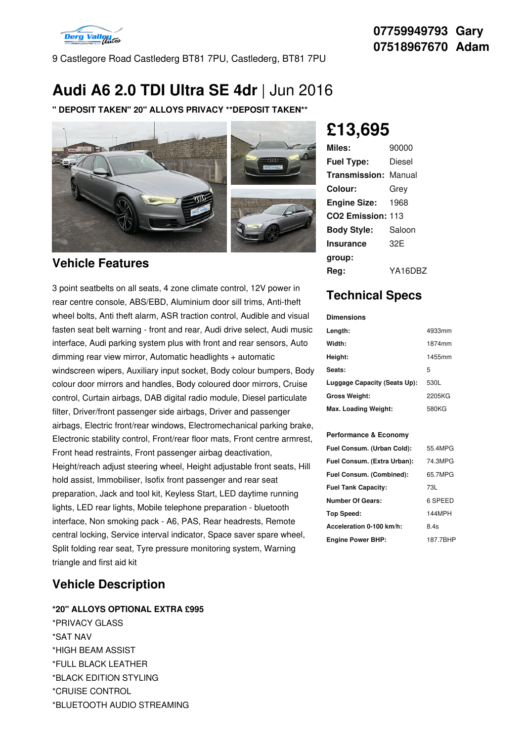

9 Castlegore Road Castlederg BT81 7PU, Castlederg, BT81 7PU

# **Audi A6 2.0 TDI Ultra SE 4dr** | Jun 2016

**" DEPOSIT TAKEN" 20" ALLOYS PRIVACY \*\*DEPOSIT TAKEN\*\***



## **Vehicle Features**

3 point seatbelts on all seats, 4 zone climate control, 12V power in rear centre console, ABS/EBD, Aluminium door sill trims, Anti-theft wheel bolts, Anti theft alarm, ASR traction control, Audible and visual fasten seat belt warning - front and rear, Audi drive select, Audi music Length: interface, Audi parking system plus with front and rear sensors, Auto dimming rear view mirror, Automatic headlights + automatic windscreen wipers, Auxiliary input socket, Body colour bumpers, Body colour door mirrors and handles, Body coloured door mirrors, Cruise control, Curtain airbags, DAB digital radio module, Diesel particulate filter, Driver/front passenger side airbags, Driver and passenger airbags, Electric front/rear windows, Electromechanical parking brake, Electronic stability control, Front/rear floor mats, Front centre armrest, Front head restraints, Front passenger airbag deactivation, Height/reach adjust steering wheel, Height adjustable front seats, Hill hold assist, Immobiliser, Isofix front passenger and rear seat preparation, Jack and tool kit, Keyless Start, LED daytime running lights, LED rear lights, Mobile telephone preparation - bluetooth interface, Non smoking pack - A6, PAS, Rear headrests, Remote central locking, Service interval indicator, Space saver spare wheel, Split folding rear seat, Tyre pressure monitoring system, Warning triangle and first aid kit

## **Vehicle Description**

#### **\*20" ALLOYS OPTIONAL EXTRA £995**

\*PRIVACY GLASS \*SAT NAV \*HIGH BEAM ASSIST \*FULL BLACK LEATHER \*BLACK EDITION STYLING \*CRUISE CONTROL \*BLUETOOTH AUDIO STREAMING

# **£13,695**

| Miles:                        | 90000   |
|-------------------------------|---------|
| <b>Fuel Type:</b>             | Diesel  |
| Transmission:                 | Manual  |
| Colour:                       | Grev    |
| <b>Engine Size:</b>           | 1968    |
| CO <sub>2</sub> Emission: 113 |         |
| <b>Body Style:</b>            | Saloon  |
| <b>Insurance</b>              | 32F     |
| group:                        |         |
| Rea:                          | YA16DBZ |

# **Technical Specs**

## **Dimensions Length:** 4933mm **Width:** 1874mm **Height:** 1455mm Seats: 5 **Luggage Capacity (Seats Up):** 530L **Gross Weight:** 2205KG **Max. Loading Weight:** 580KG

#### **Performance & Economy**

| Fuel Consum. (Urban Cold):  | 55.4MPG  |
|-----------------------------|----------|
| Fuel Consum. (Extra Urban): | 74.3MPG  |
| Fuel Consum. (Combined):    | 65.7MPG  |
| <b>Fuel Tank Capacity:</b>  | 73L      |
| <b>Number Of Gears:</b>     | 6 SPEED  |
| Top Speed:                  | 144MPH   |
| Acceleration 0-100 km/h:    | 8.4s     |
| <b>Engine Power BHP:</b>    | 187.7BHP |